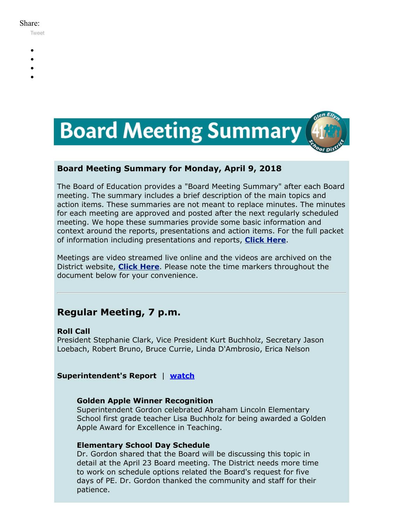#### Share:

[Tweet](https://twitter.com/intent/tweet?original_referer=https%3A%2F%2Fmyemail.constantcontact.com%2FBoard-Meeting-Summary-for-April-9--2018.html%3Fsoid%3D1102200973173%26aid%3Diex87HZCWzQ&ref_src=twsrc%5Etfw&text=Board%20Meeting%20Summary%20for%20April%209%2C%202018&tw_p=tweetbutton&url=https%3A%2F%2Fmyemail.constantcontact.com%2FBoard-Meeting-Summary-for-April-9--2018.html%3Fsoid%3D1102200973173%26aid%3Diex87HZCWzQ)

- 
- 
- 
- 
- 



# **Board Meeting Summary for Monday, April 9, 2018**

The Board of Education provides a "Board Meeting Summary" after each Board meeting. The summary includes a brief description of the main topics and action items. These summaries are not meant to replace minutes. The minutes for each meeting are approved and posted after the next regularly scheduled meeting. We hope these summaries provide some basic information and context around the reports, presentations and action items. For the full packet of information including presentations and reports, **[Click Here](http://www.d41.org/domain/36)**.

Meetings are video streamed live online and the videos are archived on the District website, **[Click Here](http://www.d41.org/domain/463)**. Please note the time markers throughout the document below for your convenience.

# **Regular Meeting, 7 p.m.**

# **Roll Call**

President Stephanie Clark, Vice President Kurt Buchholz, Secretary Jason Loebach, Robert Bruno, Bruce Currie, Linda D'Ambrosio, Erica Nelson

# **Superintendent's Report** | **[watch](https://youtu.be/XrUfLV80n8I?t=0m45s)**

# **Golden Apple Winner Recognition**

Superintendent Gordon celebrated Abraham Lincoln Elementary School first grade teacher Lisa Buchholz for being awarded a Golden Apple Award for Excellence in Teaching.

# **Elementary School Day Schedule**

Dr. Gordon shared that the Board will be discussing this topic in detail at the April 23 Board meeting. The District needs more time to work on schedule options related the Board's request for five days of PE. Dr. Gordon thanked the community and staff for their patience.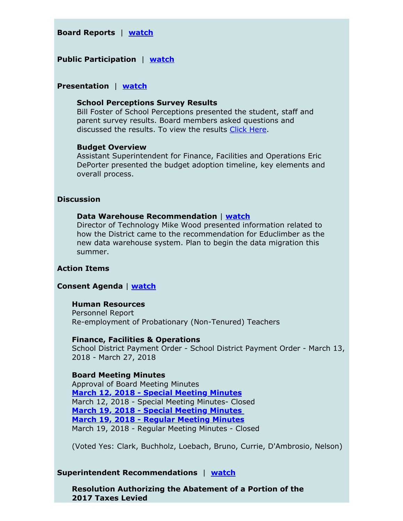## **Board Reports** | **[watch](https://youtu.be/XrUfLV80n8I?t=11m40s)**

# **Public Participation** | **[watch](https://youtu.be/XrUfLV80n8I?t=21m03s)**

# **Presentation** | **[watch](https://youtu.be/XrUfLV80n8I?t=28m08s)**

#### **School Perceptions Survey Results**

Bill Foster of School Perceptions presented the student, staff and parent survey results. Board members asked questions and discussed the results. To view the results Click [Here](https://www.d41.org/surveys).

#### **Budget Overview**

Assistant Superintendent for Finance, Facilities and Operations Eric DePorter presented the budget adoption timeline, key elements and overall process.

## **Discussion**

### **Data Warehouse Recommendation** | **[watch](https://youtu.be/XrUfLV80n8I?t=2h13m10s)**

Director of Technology Mike Wood presented information related to how the District came to the recommendation for Educlimber as the new data warehouse system. Plan to begin the data migration this summer.

## **Action Items**

# **Consent Agenda** | **[watch](https://youtu.be/XrUfLV80n8I?t=2h23m15s)**

#### **Human Resources**

Personnel Report Re-employment of Probationary (Non-Tenured) Teachers

#### **Finance, Facilities & Operations**

School District Payment Order - School District Payment Order - March 13, 2018 - March 27, 2018

#### **Board Meeting Minutes**

Approval of Board Meeting Minutes **[March 12, 2018 - Special Meeting Minutes](https://v3.boardbook.org/Public/PublicItemDownload.aspx?ik=42260392)** March 12, 2018 - Special Meeting Minutes- Closed **[March 19, 2018 - Special Meeting Minutes](https://v3.boardbook.org/Public/PublicItemDownload.aspx?ik=42260393) [March 19, 2018 - Regular Meeting Minutes](https://v3.boardbook.org/Public/PublicItemDownload.aspx?ik=42260445)** March 19, 2018 - Regular Meeting Minutes - Closed

(Voted Yes: Clark, Buchholz, Loebach, Bruno, Currie, D'Ambrosio, Nelson)

#### **Superintendent Recommendations** | **[watch](https://youtu.be/XrUfLV80n8I?t=2h24m20s)**

**Resolution Authorizing the Abatement of a Portion of the 2017 Taxes Levied**